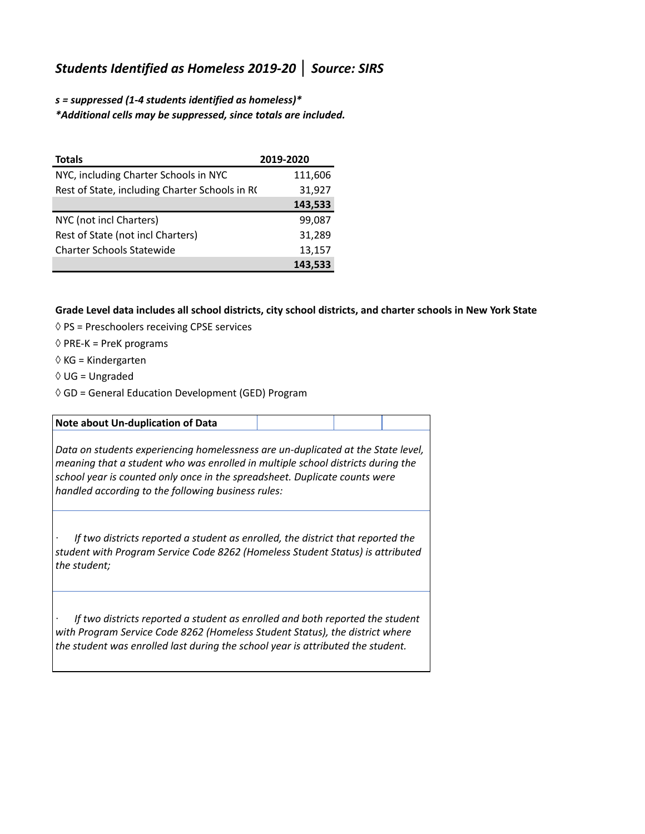## *Students Identified as Homeless 2019-20* **│** *Source: SIRS*

*s = suppressed (1-4 students identified as homeless)\* \*Additional cells may be suppressed, since totals are included.*

| <b>Totals</b>                                  | 2019-2020 |
|------------------------------------------------|-----------|
| NYC, including Charter Schools in NYC          | 111,606   |
| Rest of State, including Charter Schools in RC | 31,927    |
|                                                | 143,533   |
| NYC (not incl Charters)                        | 99,087    |
| Rest of State (not incl Charters)              | 31,289    |
| <b>Charter Schools Statewide</b>               | 13,157    |
|                                                | 143,533   |

**Grade Level data includes all school districts, city school districts, and charter schools in New York State**

- ◊ PS = Preschoolers receiving CPSE services
- $\Diamond$  PRE-K = PreK programs
- $\Diamond$  KG = Kindergarten
- $\Diamond$  UG = Ungraded
- $\Diamond$  GD = General Education Development (GED) Program

## **Note about Un-duplication of Data**

*Data on students experiencing homelessness are un-duplicated at the State level, meaning that a student who was enrolled in multiple school districts during the school year is counted only once in the spreadsheet. Duplicate counts were handled according to the following business rules:*

*· If two districts reported a student as enrolled, the district that reported the student with Program Service Code 8262 (Homeless Student Status) is attributed the student;*

*· If two districts reported a student as enrolled and both reported the student with Program Service Code 8262 (Homeless Student Status), the district where the student was enrolled last during the school year is attributed the student.*